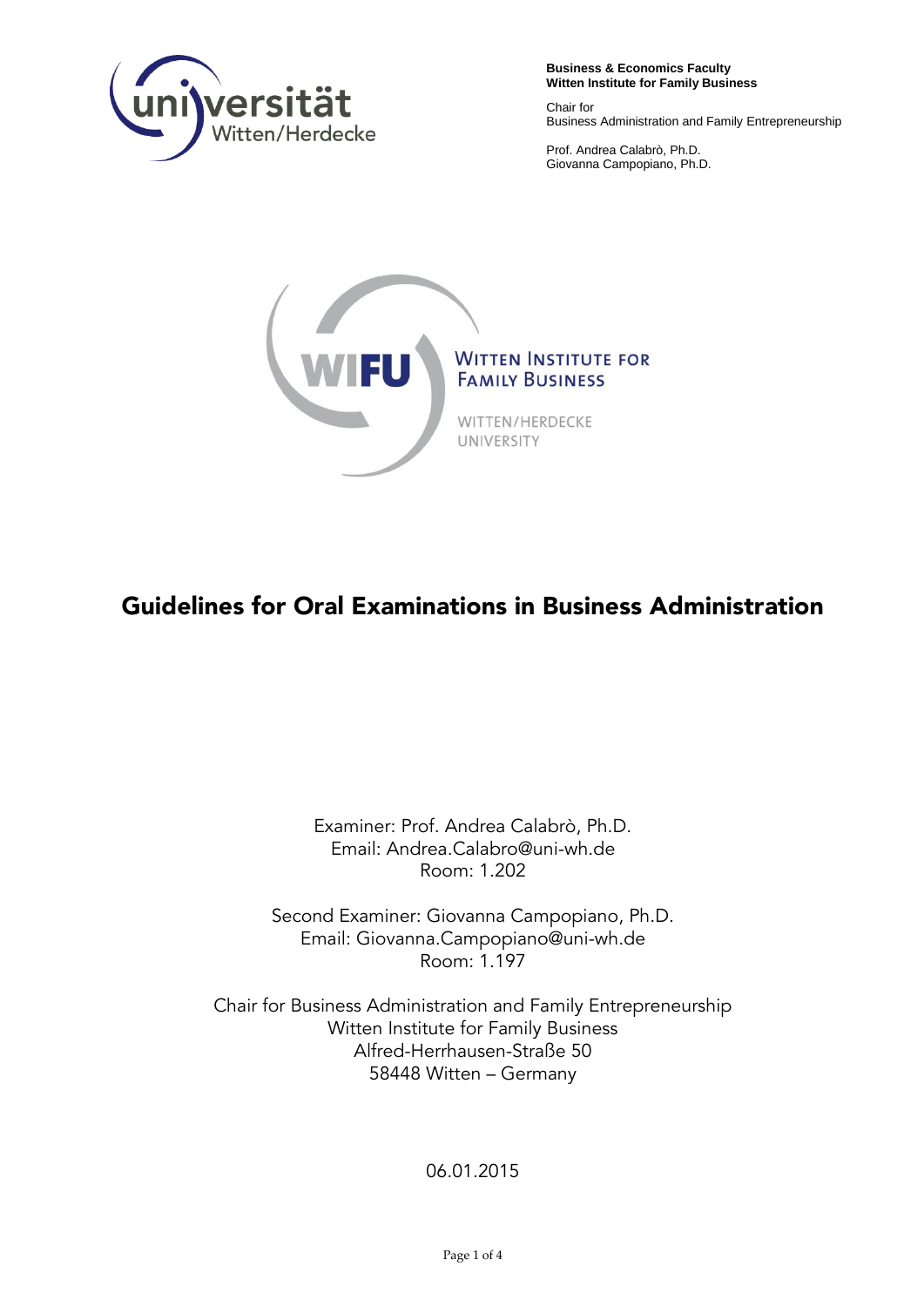

**Business & Economics Faculty Witten Institute for Family Business**

Chair for Business Administration and Family Entrepreneurship

Prof. Andrea Calabrò, Ph.D. Giovanna Campopiano, Ph.D.



## **Guidelines for Oral Examinations in Business Administration**

Examiner: Prof. Andrea Calabrò, Ph.D. Email: [Andrea.Calabro@uni-wh.de](mailto:Andrea.Calabro@uni-wh.de) Room: 1.202

Second Examiner: Giovanna Campopiano, Ph.D. Email: Giovanna.Campopiano@uni-wh.de Room: 1.197

Chair for Business Administration and Family Entrepreneurship Witten Institute for Family Business Alfred-Herrhausen-Straße 50 58448 Witten – Germany

06.01.2015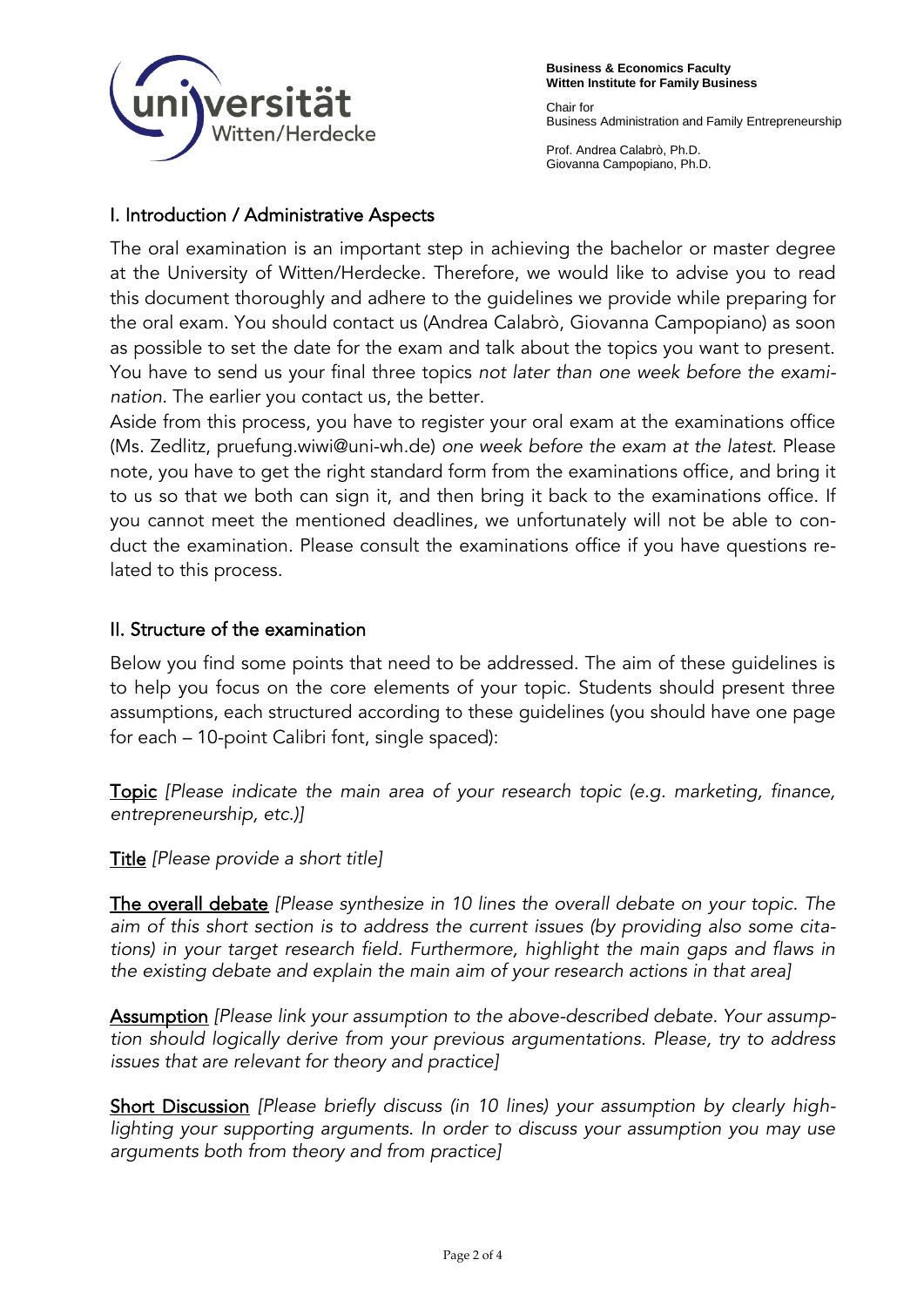

Chair for Business Administration and Family Entrepreneurship

Prof. Andrea Calabrò, Ph.D. Giovanna Campopiano, Ph.D.

## I. Introduction / Administrative Aspects

The oral examination is an important step in achieving the bachelor or master degree at the University of Witten/Herdecke. Therefore, we would like to advise you to read this document thoroughly and adhere to the guidelines we provide while preparing for the oral exam. You should contact us (Andrea Calabrò, Giovanna Campopiano) as soon as possible to set the date for the exam and talk about the topics you want to present. You have to send us your final three topics *not later than one week before the examination*. The earlier you contact us, the better.

Aside from this process, you have to register your oral exam at the examinations office (Ms. Zedlitz, pruefung.wiwi@uni-wh.de) *one week before the exam at the latest*. Please note, you have to get the right standard form from the examinations office, and bring it to us so that we both can sign it, and then bring it back to the examinations office. If you cannot meet the mentioned deadlines, we unfortunately will not be able to conduct the examination. Please consult the examinations office if you have questions related to this process.

## II. Structure of the examination

Below you find some points that need to be addressed. The aim of these guidelines is to help you focus on the core elements of your topic. Students should present three assumptions, each structured according to these guidelines (you should have one page for each – 10-point Calibri font, single spaced):

Topic *[Please indicate the main area of your research topic (e.g. marketing, finance, entrepreneurship, etc.)]*

Title *[Please provide a short title]*

The overall debate *[Please synthesize in 10 lines the overall debate on your topic. The aim of this short section is to address the current issues (by providing also some citations) in your target research field. Furthermore, highlight the main gaps and flaws in the existing debate and explain the main aim of your research actions in that area]*

Assumption *[Please link your assumption to the above-described debate. Your assumption should logically derive from your previous argumentations. Please, try to address issues that are relevant for theory and practice]*

Short Discussion *[Please briefly discuss (in 10 lines) your assumption by clearly high*lighting your supporting arguments. In order to discuss your assumption you may use *arguments both from theory and from practice]*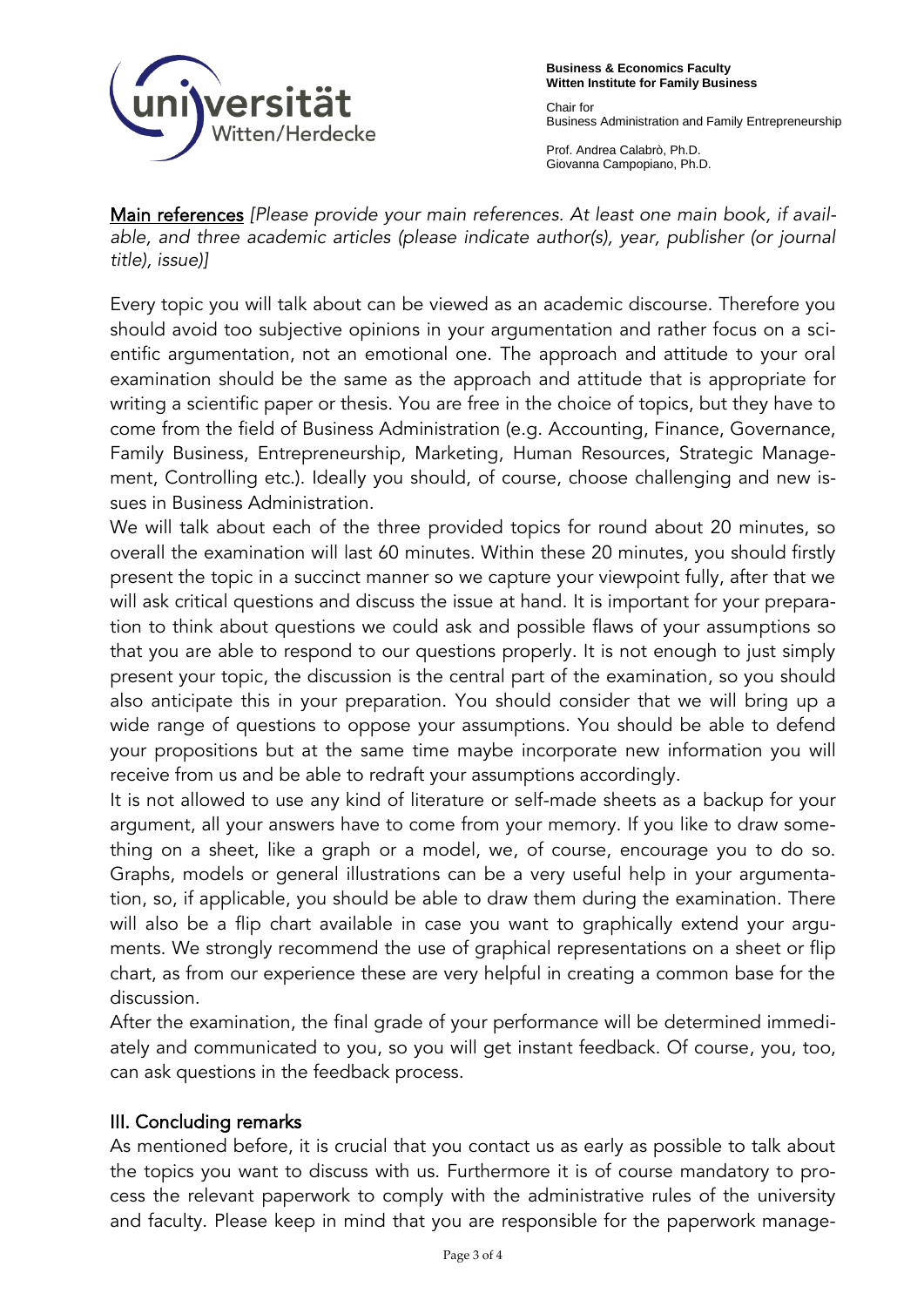

**Business & Economics Faculty Witten Institute for Family Business**

Chair for Business Administration and Family Entrepreneurship

Prof. Andrea Calabrò, Ph.D. Giovanna Campopiano, Ph.D.

Main references *[Please provide your main references. At least one main book, if available, and three academic articles (please indicate author(s), year, publisher (or journal title), issue)]* 

Every topic you will talk about can be viewed as an academic discourse. Therefore you should avoid too subjective opinions in your argumentation and rather focus on a scientific argumentation, not an emotional one. The approach and attitude to your oral examination should be the same as the approach and attitude that is appropriate for writing a scientific paper or thesis. You are free in the choice of topics, but they have to come from the field of Business Administration (e.g. Accounting, Finance, Governance, Family Business, Entrepreneurship, Marketing, Human Resources, Strategic Management, Controlling etc.). Ideally you should, of course, choose challenging and new issues in Business Administration.

We will talk about each of the three provided topics for round about 20 minutes, so overall the examination will last 60 minutes. Within these 20 minutes, you should firstly present the topic in a succinct manner so we capture your viewpoint fully, after that we will ask critical questions and discuss the issue at hand. It is important for your preparation to think about questions we could ask and possible flaws of your assumptions so that you are able to respond to our questions properly. It is not enough to just simply present your topic, the discussion is the central part of the examination, so you should also anticipate this in your preparation. You should consider that we will bring up a wide range of questions to oppose your assumptions. You should be able to defend your propositions but at the same time maybe incorporate new information you will receive from us and be able to redraft your assumptions accordingly.

It is not allowed to use any kind of literature or self-made sheets as a backup for your argument, all your answers have to come from your memory. If you like to draw something on a sheet, like a graph or a model, we, of course, encourage you to do so. Graphs, models or general illustrations can be a very useful help in your argumentation, so, if applicable, you should be able to draw them during the examination. There will also be a flip chart available in case you want to graphically extend your arguments. We strongly recommend the use of graphical representations on a sheet or flip chart, as from our experience these are very helpful in creating a common base for the discussion.

After the examination, the final grade of your performance will be determined immediately and communicated to you, so you will get instant feedback. Of course, you, too, can ask questions in the feedback process.

## III. Concluding remarks

As mentioned before, it is crucial that you contact us as early as possible to talk about the topics you want to discuss with us. Furthermore it is of course mandatory to process the relevant paperwork to comply with the administrative rules of the university and faculty. Please keep in mind that you are responsible for the paperwork manage-